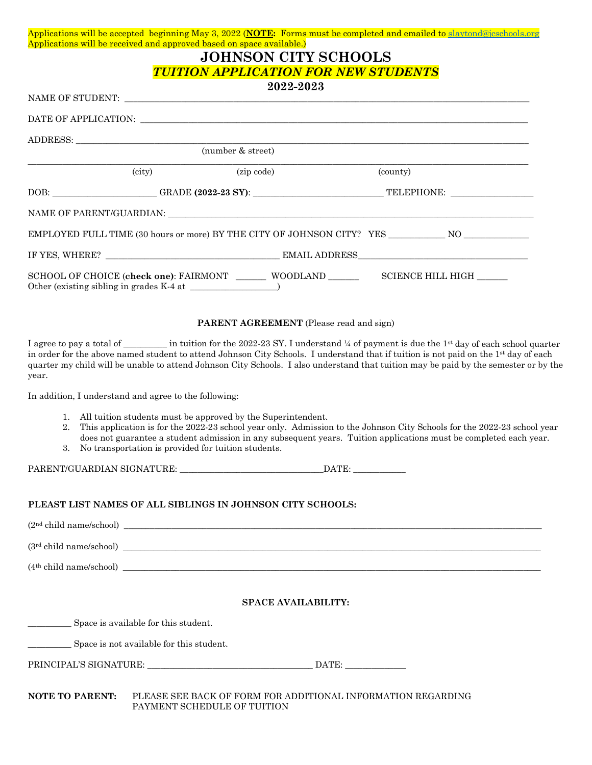|                        | Applications will be received and approved based on space available.)                                                                                                                                                                                                                                                                                                                                                                                                             | <b>JOHNSON CITY SCHOOLS</b>                                  |          |                                                                                                                                                                                                                                                                                                                                                                                                                                                 |
|------------------------|-----------------------------------------------------------------------------------------------------------------------------------------------------------------------------------------------------------------------------------------------------------------------------------------------------------------------------------------------------------------------------------------------------------------------------------------------------------------------------------|--------------------------------------------------------------|----------|-------------------------------------------------------------------------------------------------------------------------------------------------------------------------------------------------------------------------------------------------------------------------------------------------------------------------------------------------------------------------------------------------------------------------------------------------|
|                        |                                                                                                                                                                                                                                                                                                                                                                                                                                                                                   | <b>TUITION APPLICATION FOR NEW STUDENTS</b>                  |          |                                                                                                                                                                                                                                                                                                                                                                                                                                                 |
|                        |                                                                                                                                                                                                                                                                                                                                                                                                                                                                                   | 2022-2023                                                    |          |                                                                                                                                                                                                                                                                                                                                                                                                                                                 |
|                        | $\label{eq:AME} \text{NAME OF STUDENT: } \begin{tabular}{ c c c c } \hline \multicolumn{3}{ c }{\text{NAME of STUDENT:}} \hline \multicolumn{3}{ c }{\text{NAME of STUDENT:}} \hline \multicolumn{3}{ c }{\text{NAME of STUDENT:}} \hline \multicolumn{3}{ c }{\text{NAME of STUDENT:}} \hline \multicolumn{3}{ c }{\text{NAME of STUDENT:}} \hline \multicolumn{3}{ c }{\text{NAME of STUDENT:}} \hline \multicolumn{3}{ c }{\text{NAME of STUDENT:}} \hline \multicolumn{3}{ c$ |                                                              |          |                                                                                                                                                                                                                                                                                                                                                                                                                                                 |
|                        |                                                                                                                                                                                                                                                                                                                                                                                                                                                                                   |                                                              |          |                                                                                                                                                                                                                                                                                                                                                                                                                                                 |
|                        |                                                                                                                                                                                                                                                                                                                                                                                                                                                                                   | (number & street)                                            |          |                                                                                                                                                                                                                                                                                                                                                                                                                                                 |
|                        |                                                                                                                                                                                                                                                                                                                                                                                                                                                                                   |                                                              |          |                                                                                                                                                                                                                                                                                                                                                                                                                                                 |
|                        | (city)                                                                                                                                                                                                                                                                                                                                                                                                                                                                            | (zip code)                                                   | (county) |                                                                                                                                                                                                                                                                                                                                                                                                                                                 |
|                        |                                                                                                                                                                                                                                                                                                                                                                                                                                                                                   |                                                              |          | DOB: _____________________GRADE (2022-23 SY): ___________________________________TELEPHONE: __________________                                                                                                                                                                                                                                                                                                                                  |
|                        |                                                                                                                                                                                                                                                                                                                                                                                                                                                                                   |                                                              |          |                                                                                                                                                                                                                                                                                                                                                                                                                                                 |
|                        |                                                                                                                                                                                                                                                                                                                                                                                                                                                                                   |                                                              |          | EMPLOYED FULL TIME (30 hours or more) BY THE CITY OF JOHNSON CITY? YES _____________ NO                                                                                                                                                                                                                                                                                                                                                         |
|                        |                                                                                                                                                                                                                                                                                                                                                                                                                                                                                   |                                                              |          |                                                                                                                                                                                                                                                                                                                                                                                                                                                 |
|                        |                                                                                                                                                                                                                                                                                                                                                                                                                                                                                   |                                                              |          | SCHOOL OF CHOICE (check one): FAIRMONT _________ WOODLAND _____________ SCIENCE HILL HIGH _______                                                                                                                                                                                                                                                                                                                                               |
|                        |                                                                                                                                                                                                                                                                                                                                                                                                                                                                                   |                                                              |          |                                                                                                                                                                                                                                                                                                                                                                                                                                                 |
|                        |                                                                                                                                                                                                                                                                                                                                                                                                                                                                                   | <b>PARENT AGREEMENT</b> (Please read and sign)               |          |                                                                                                                                                                                                                                                                                                                                                                                                                                                 |
| year.                  | In addition, I understand and agree to the following:                                                                                                                                                                                                                                                                                                                                                                                                                             |                                                              |          | I agree to pay a total of __________ in tuition for the 2022-23 SY. I understand ¼ of payment is due the 1 <sup>st</sup> day of each school quarter<br>in order for the above named student to attend Johnson City Schools. I understand that if tuition is not paid on the 1 <sup>st</sup> day of each<br>quarter my child will be unable to attend Johnson City Schools. I also understand that tuition may be paid by the semester or by the |
| 2.<br>3.               | 1. All tuition students must be approved by the Superintendent.<br>No transportation is provided for tuition students.                                                                                                                                                                                                                                                                                                                                                            |                                                              |          | This application is for the 2022-23 school year only. Admission to the Johnson City Schools for the 2022-23 school year<br>does not guarantee a student admission in any subsequent years. Tuition applications must be completed each year.                                                                                                                                                                                                    |
|                        |                                                                                                                                                                                                                                                                                                                                                                                                                                                                                   |                                                              |          |                                                                                                                                                                                                                                                                                                                                                                                                                                                 |
|                        |                                                                                                                                                                                                                                                                                                                                                                                                                                                                                   |                                                              |          |                                                                                                                                                                                                                                                                                                                                                                                                                                                 |
|                        | PLEAST LIST NAMES OF ALL SIBLINGS IN JOHNSON CITY SCHOOLS:                                                                                                                                                                                                                                                                                                                                                                                                                        |                                                              |          |                                                                                                                                                                                                                                                                                                                                                                                                                                                 |
|                        |                                                                                                                                                                                                                                                                                                                                                                                                                                                                                   |                                                              |          |                                                                                                                                                                                                                                                                                                                                                                                                                                                 |
|                        |                                                                                                                                                                                                                                                                                                                                                                                                                                                                                   |                                                              |          | $(3rd child name/school)$ $\qquad \qquad$                                                                                                                                                                                                                                                                                                                                                                                                       |
|                        |                                                                                                                                                                                                                                                                                                                                                                                                                                                                                   |                                                              |          |                                                                                                                                                                                                                                                                                                                                                                                                                                                 |
|                        |                                                                                                                                                                                                                                                                                                                                                                                                                                                                                   |                                                              |          |                                                                                                                                                                                                                                                                                                                                                                                                                                                 |
|                        |                                                                                                                                                                                                                                                                                                                                                                                                                                                                                   | <b>SPACE AVAILABILITY:</b>                                   |          |                                                                                                                                                                                                                                                                                                                                                                                                                                                 |
|                        |                                                                                                                                                                                                                                                                                                                                                                                                                                                                                   |                                                              |          |                                                                                                                                                                                                                                                                                                                                                                                                                                                 |
|                        | Space is not available for this student.                                                                                                                                                                                                                                                                                                                                                                                                                                          |                                                              |          |                                                                                                                                                                                                                                                                                                                                                                                                                                                 |
|                        |                                                                                                                                                                                                                                                                                                                                                                                                                                                                                   |                                                              |          |                                                                                                                                                                                                                                                                                                                                                                                                                                                 |
|                        |                                                                                                                                                                                                                                                                                                                                                                                                                                                                                   |                                                              |          |                                                                                                                                                                                                                                                                                                                                                                                                                                                 |
| <b>NOTE TO PARENT:</b> | PAYMENT SCHEDULE OF TUITION                                                                                                                                                                                                                                                                                                                                                                                                                                                       | PLEASE SEE BACK OF FORM FOR ADDITIONAL INFORMATION REGARDING |          |                                                                                                                                                                                                                                                                                                                                                                                                                                                 |